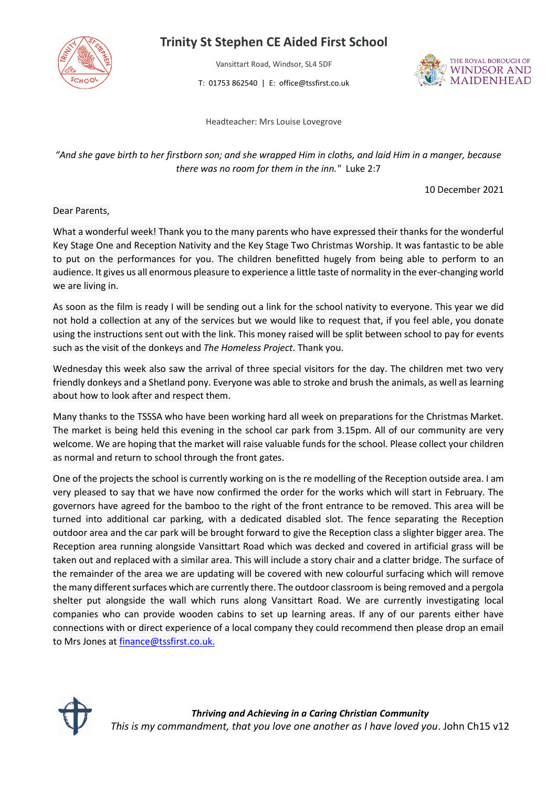

## **Trinity St Stephen CE Aided First School**

Vansittart Road, Windsor, SL4 5DF

T: 01753 862540 | E: office@tssfirst.co.uk



Headteacher: Mrs Louise Lovegrove

## *"And she gave birth to her firstborn son; and she wrapped Him in cloths, and laid Him in a manger, because there was no room for them in the inn."* Luke 2:7

10 December 2021

Dear Parents,

What a wonderful week! Thank you to the many parents who have expressed their thanks for the wonderful Key Stage One and Reception Nativity and the Key Stage Two Christmas Worship. It was fantastic to be able to put on the performances for you. The children benefitted hugely from being able to perform to an audience. It gives us all enormous pleasure to experience a little taste of normality in the ever-changing world we are living in.

As soon as the film is ready I will be sending out a link for the school nativity to everyone. This year we did not hold a collection at any of the services but we would like to request that, if you feel able, you donate using the instructions sent out with the link. This money raised will be split between school to pay for events such as the visit of the donkeys and *The Homeless Project*. Thank you.

Wednesday this week also saw the arrival of three special visitors for the day. The children met two very friendly donkeys and a Shetland pony. Everyone was able to stroke and brush the animals, as well as learning about how to look after and respect them.

Many thanks to the TSSSA who have been working hard all week on preparations for the Christmas Market. The market is being held this evening in the school car park from 3.15pm. All of our community are very welcome. We are hoping that the market will raise valuable funds for the school. Please collect your children as normal and return to school through the front gates.

One of the projects the school is currently working on is the re modelling of the Reception outside area. I am very pleased to say that we have now confirmed the order for the works which will start in February. The governors have agreed for the bamboo to the right of the front entrance to be removed. This area will be turned into additional car parking, with a dedicated disabled slot. The fence separating the Reception outdoor area and the car park will be brought forward to give the Reception class a slighter bigger area. The Reception area running alongside Vansittart Road which was decked and covered in artificial grass will be taken out and replaced with a similar area. This will include a story chair and a clatter bridge. The surface of the remainder of the area we are updating will be covered with new colourful surfacing which will remove the many different surfaces which are currently there. The outdoor classroom is being removed and a pergola shelter put alongside the wall which runs along Vansittart Road. We are currently investigating local companies who can provide wooden cabins to set up learning areas. If any of our parents either have connections with or direct experience of a local company they could recommend then please drop an email to Mrs Jones at [finance@tssfirst.co.uk.](mailto:finance@tssfirst.co.uk)